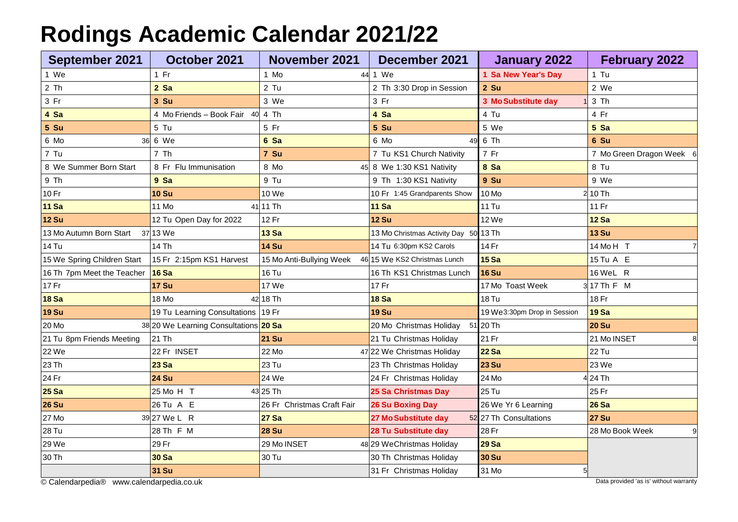## **Rodings Academic Calendar 2021/22**

| <b>September 2021</b>                                                              | October 2021                          | <b>November 2021</b>       | December 2021                         | January 2022                | <b>February 2022</b>     |  |  |
|------------------------------------------------------------------------------------|---------------------------------------|----------------------------|---------------------------------------|-----------------------------|--------------------------|--|--|
| 1 We                                                                               | $1$ Fr                                | 1 Mo                       | 44 1 We                               | 1 Sa New Year's Day         | $1$ Tu                   |  |  |
| 2 Th                                                                               | $2$ Sa                                | $2$ Tu                     | 2 Th 3:30 Drop in Session             | $2$ Su                      | 2 We                     |  |  |
| 3 Fr                                                                               | 3 Su                                  | 3 We                       | 3 Fr                                  | 3 Mo Substitute day         | 3 Th                     |  |  |
| 4 Sa                                                                               | 4 Mo Friends - Book Fair 40 4 Th      |                            | 4 Sa                                  | 4 Tu                        | 4 Fr                     |  |  |
| 5 Su                                                                               | 5 Tu                                  | 5 Fr                       | 5 Su                                  | 5 We                        | 5 Sa                     |  |  |
| 6 Mo<br>36                                                                         | 6 We                                  | 6 Sa                       | 6 Mo<br>49                            | 6 Th                        | 6 Su                     |  |  |
| 7 Tu                                                                               | 7 Th                                  | 7 Su                       | 7 Tu KS1 Church Nativity              | 7 Fr                        | 7 Mo Green Dragon Week 6 |  |  |
| 8 We Summer Born Start                                                             | 8 Fr Flu Immunisation                 | 8 Mo                       | 45 8 We 1:30 KS1 Nativity             | 8 Sa                        | 8 Tu                     |  |  |
| 9 Th                                                                               | 9 Sa                                  | 9 Tu                       | 9 Th 1:30 KS1 Nativity                | 9 Su                        | 9 We                     |  |  |
| 10 Fr                                                                              | <b>10 Su</b>                          | 10 We                      | 10 Fr 1:45 Grandparents Show          | 10 Mo                       | $2$ 10 Th                |  |  |
| <b>11 Sa</b>                                                                       | 11 Mo                                 | 41 11 Th                   | <b>11 Sa</b>                          | <b>11 Tu</b>                | 11 Fr                    |  |  |
| <b>12 Su</b>                                                                       | 12 Tu Open Day for 2022               | 12 Fr                      | <b>12 Su</b>                          | 12 We                       | <b>12 Sa</b>             |  |  |
| 13 Mo Autumn Born Start<br>37                                                      | 13 We                                 | <b>13 Sa</b>               | 13 Mo Christmas Activity Day 50 13 Th |                             | <b>13 Su</b>             |  |  |
| <b>14 Tu</b>                                                                       | 14 Th                                 | <b>14 Su</b>               | 14 Tu 6:30pm KS2 Carols               | 14 Fr                       | 14 MoH T                 |  |  |
| 15 We Spring Children Start                                                        | 15 Fr 2:15pm KS1 Harvest              | 15 Mo Anti-Bullying Week   | 46 15 We KS2 Christmas Lunch          | <b>15 Sa</b>                | 15 Tu A E                |  |  |
| 16 Th 7pm Meet the Teacher                                                         | <b>16 Sa</b>                          | <b>16 Tu</b>               | 16 Th KS1 Christmas Lunch             | <b>16 Su</b>                | 16 WeL R                 |  |  |
| 17 Fr                                                                              | <b>17 Su</b>                          | 17 We                      | 17 Fr                                 | 17 Mo Toast Week            | 3 17 Th F M              |  |  |
| <b>18 Sa</b>                                                                       | 18 Mo                                 | 42 18 Th                   | <b>18 Sa</b>                          | <b>18 Tu</b>                | 18 Fr                    |  |  |
| <b>19 Su</b>                                                                       | 19 Tu Learning Consultations 19 Fr    |                            | <b>19 Su</b>                          | 19 We3:30pm Drop in Session | <b>19 Sa</b>             |  |  |
| 20 Mo                                                                              | 38 20 We Learning Consultations 20 Sa |                            | 20 Mo Christmas Holiday               | $51$ 20 Th                  | <b>20 Su</b>             |  |  |
| 21 Tu 8pm Friends Meeting                                                          | 21 Th                                 | <b>21 Su</b>               | 21 Tu Christmas Holiday               | 21 Fr                       | 21 Mo INSET<br>8         |  |  |
| 22 We                                                                              | 22 Fr INSET                           | 22 Mo                      | 47 22 We Christmas Holiday            | <b>22 Sa</b>                | 22 Tu                    |  |  |
| 23 Th                                                                              | <b>23 Sa</b>                          | 23 Tu                      | 23 Th Christmas Holiday               | <b>23 Su</b>                | 23 We                    |  |  |
| 24 Fr                                                                              | <b>24 Su</b>                          | 24 We                      | 24 Fr Christmas Holiday               | 24 Mo                       | $4$ 24 Th                |  |  |
| <b>25 Sa</b>                                                                       | 25 Mo H T                             | 43 25 Th                   | 25 Sa Christmas Day                   | <b>25 Tu</b>                | 25 Fr                    |  |  |
| <b>26 Su</b>                                                                       | 26 Tu A E                             | 26 Fr Christmas Craft Fair | <b>26 Su Boxing Day</b>               | 26 We Yr 6 Learning         | <b>26 Sa</b>             |  |  |
| 27 Mo                                                                              | 39 27 We L R                          | <b>27 Sa</b>               | 27 Mo Substitute day                  | 52 27 Th Consultations      | <b>27 Su</b>             |  |  |
| 28 Tu                                                                              | 28 Th F M                             | <b>28 Su</b>               | 28 Tu Substitute day                  | 28 Fr                       | 28 Mo Book Week          |  |  |
| 29 We                                                                              | 29 Fr                                 | 29 Mo INSET                | 48 29 WeChristmas Holiday             | <b>29 Sa</b>                |                          |  |  |
| 30 Th                                                                              | <b>30 Sa</b>                          | 30 Tu                      | 30 Th Christmas Holiday               | <b>30 Su</b>                |                          |  |  |
|                                                                                    | <b>31 Su</b>                          |                            | 31 Fr Christmas Holiday               | 31 Mo                       |                          |  |  |
| Data provided 'as is' without warranty<br>© Calendarpedia® www.calendarpedia.co.uk |                                       |                            |                                       |                             |                          |  |  |